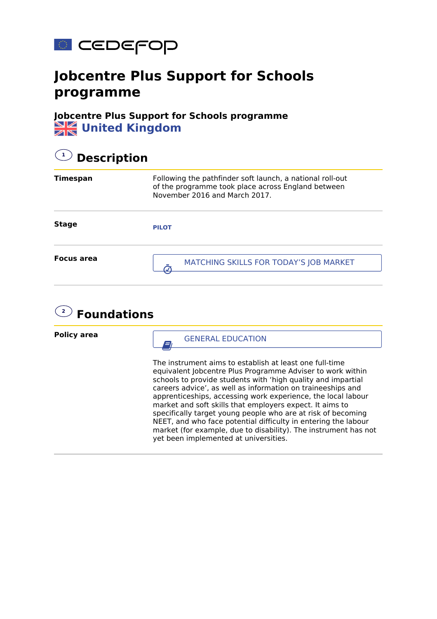

## **Jobcentre Plus Support for Schools programme**

**Jobcentre Plus Support for Schools programme WE** United Kingdom

| <b>Description</b>                                                                                                                               |  |  |  |
|--------------------------------------------------------------------------------------------------------------------------------------------------|--|--|--|
| Following the pathfinder soft launch, a national roll-out<br>of the programme took place across England between<br>November 2016 and March 2017. |  |  |  |
| <b>PILOT</b>                                                                                                                                     |  |  |  |
| MATCHING SKILLS FOR TODAY'S JOB MARKET                                                                                                           |  |  |  |
|                                                                                                                                                  |  |  |  |



**Policy area**

GENERAL EDUCATION

The instrument aims to establish at least one full-time equivalent Jobcentre Plus Programme Adviser to work within schools to provide students with 'high quality and impartial careers advice', as well as information on traineeships and apprenticeships, accessing work experience, the local labour market and soft skills that employers expect. It aims to specifically target young people who are at risk of becoming NEET, and who face potential difficulty in entering the labour market (for example, due to disability). The instrument has not yet been implemented at universities.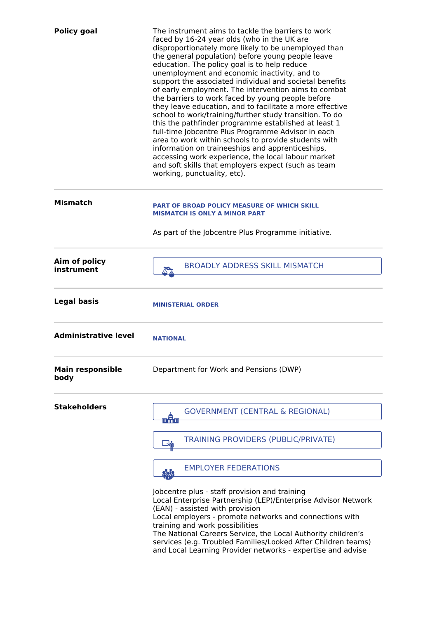| <b>Policy goal</b>              | The instrument aims to tackle the barriers to work<br>faced by 16-24 year olds (who in the UK are<br>disproportionately more likely to be unemployed than<br>the general population) before young people leave<br>education. The policy goal is to help reduce<br>unemployment and economic inactivity, and to<br>support the associated individual and societal benefits<br>of early employment. The intervention aims to combat<br>the barriers to work faced by young people before<br>they leave education, and to facilitate a more effective<br>school to work/training/further study transition. To do<br>this the pathfinder programme established at least 1<br>full-time Jobcentre Plus Programme Advisor in each<br>area to work within schools to provide students with<br>information on traineeships and apprenticeships,<br>accessing work experience, the local labour market<br>and soft skills that employers expect (such as team<br>working, punctuality, etc). |
|---------------------------------|-------------------------------------------------------------------------------------------------------------------------------------------------------------------------------------------------------------------------------------------------------------------------------------------------------------------------------------------------------------------------------------------------------------------------------------------------------------------------------------------------------------------------------------------------------------------------------------------------------------------------------------------------------------------------------------------------------------------------------------------------------------------------------------------------------------------------------------------------------------------------------------------------------------------------------------------------------------------------------------|
| <b>Mismatch</b>                 | <b>PART OF BROAD POLICY MEASURE OF WHICH SKILL</b><br><b>MISMATCH IS ONLY A MINOR PART</b>                                                                                                                                                                                                                                                                                                                                                                                                                                                                                                                                                                                                                                                                                                                                                                                                                                                                                          |
|                                 | As part of the Jobcentre Plus Programme initiative.                                                                                                                                                                                                                                                                                                                                                                                                                                                                                                                                                                                                                                                                                                                                                                                                                                                                                                                                 |
| Aim of policy<br>instrument     | <b>BROADLY ADDRESS SKILL MISMATCH</b>                                                                                                                                                                                                                                                                                                                                                                                                                                                                                                                                                                                                                                                                                                                                                                                                                                                                                                                                               |
| <b>Legal basis</b>              | <b>MINISTERIAL ORDER</b>                                                                                                                                                                                                                                                                                                                                                                                                                                                                                                                                                                                                                                                                                                                                                                                                                                                                                                                                                            |
| <b>Administrative level</b>     | <b>NATIONAL</b>                                                                                                                                                                                                                                                                                                                                                                                                                                                                                                                                                                                                                                                                                                                                                                                                                                                                                                                                                                     |
| <b>Main responsible</b><br>body | Department for Work and Pensions (DWP)                                                                                                                                                                                                                                                                                                                                                                                                                                                                                                                                                                                                                                                                                                                                                                                                                                                                                                                                              |
| <b>Stakeholders</b>             | <b>GOVERNMENT (CENTRAL &amp; REGIONAL)</b><br>winn                                                                                                                                                                                                                                                                                                                                                                                                                                                                                                                                                                                                                                                                                                                                                                                                                                                                                                                                  |
|                                 | <b>TRAINING PROVIDERS (PUBLIC/PRIVATE)</b>                                                                                                                                                                                                                                                                                                                                                                                                                                                                                                                                                                                                                                                                                                                                                                                                                                                                                                                                          |
|                                 | <b>EMPLOYER FEDERATIONS</b><br><u>ပုဂ္ဂဇ္</u> ဂ<br>များ                                                                                                                                                                                                                                                                                                                                                                                                                                                                                                                                                                                                                                                                                                                                                                                                                                                                                                                             |
|                                 | Jobcentre plus - staff provision and training<br>Local Enterprise Partnership (LEP)/Enterprise Advisor Network<br>(EAN) - assisted with provision<br>Local employers - promote networks and connections with<br>training and work possibilities<br>The National Careers Service, the Local Authority children's<br>services (e.g. Troubled Families/Looked After Children teams)<br>and Local Learning Provider networks - expertise and advise                                                                                                                                                                                                                                                                                                                                                                                                                                                                                                                                     |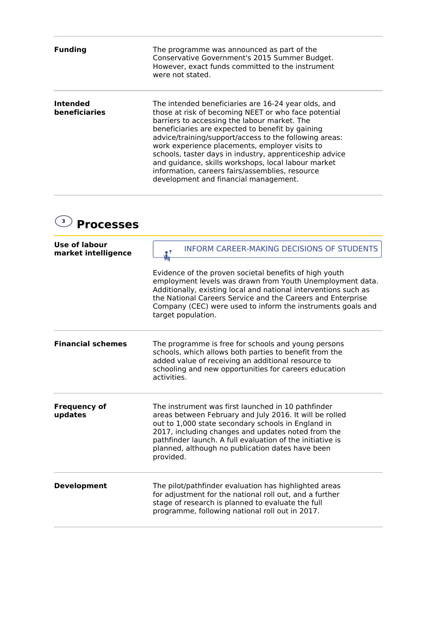| <b>Funding</b>            | The programme was announced as part of the<br>Conservative Government's 2015 Summer Budget.<br>However, exact funds committed to the instrument<br>were not stated.                                                                                                                                                                                                                                                                                                                                                                       |
|---------------------------|-------------------------------------------------------------------------------------------------------------------------------------------------------------------------------------------------------------------------------------------------------------------------------------------------------------------------------------------------------------------------------------------------------------------------------------------------------------------------------------------------------------------------------------------|
| Intended<br>beneficiaries | The intended beneficiaries are 16-24 year olds, and<br>those at risk of becoming NEET or who face potential<br>barriers to accessing the labour market. The<br>beneficiaries are expected to benefit by gaining<br>advice/training/support/access to the following areas:<br>work experience placements, employer visits to<br>schools, taster days in industry, apprenticeship advice<br>and guidance, skills workshops, local labour market<br>information, careers fairs/assemblies, resource<br>development and financial management. |

## **3 Processes**

| Use of labour<br>market intelligence | <b>INFORM CAREER-MAKING DECISIONS OF STUDENTS</b><br>$^{\circ}$<br>₩т                                                                                                                                                                                                                                                                                   |
|--------------------------------------|---------------------------------------------------------------------------------------------------------------------------------------------------------------------------------------------------------------------------------------------------------------------------------------------------------------------------------------------------------|
|                                      | Evidence of the proven societal benefits of high youth<br>employment levels was drawn from Youth Unemployment data.<br>Additionally, existing local and national interventions such as<br>the National Careers Service and the Careers and Enterprise<br>Company (CEC) were used to inform the instruments goals and<br>target population.              |
| <b>Financial schemes</b>             | The programme is free for schools and young persons<br>schools, which allows both parties to benefit from the<br>added value of receiving an additional resource to<br>schooling and new opportunities for careers education<br>activities.                                                                                                             |
| <b>Frequency of</b><br>updates       | The instrument was first launched in 10 pathfinder<br>areas between February and July 2016. It will be rolled<br>out to 1,000 state secondary schools in England in<br>2017, including changes and updates noted from the<br>pathfinder launch. A full evaluation of the initiative is<br>planned, although no publication dates have been<br>provided. |
| <b>Development</b>                   | The pilot/pathfinder evaluation has highlighted areas<br>for adjustment for the national roll out, and a further<br>stage of research is planned to evaluate the full<br>programme, following national roll out in 2017.                                                                                                                                |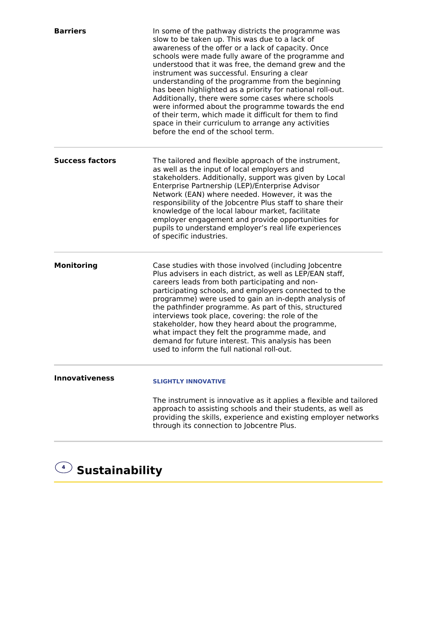| <b>Barriers</b>        | In some of the pathway districts the programme was<br>slow to be taken up. This was due to a lack of<br>awareness of the offer or a lack of capacity. Once<br>schools were made fully aware of the programme and<br>understood that it was free, the demand grew and the<br>instrument was successful. Ensuring a clear<br>understanding of the programme from the beginning<br>has been highlighted as a priority for national roll-out.<br>Additionally, there were some cases where schools<br>were informed about the programme towards the end<br>of their term, which made it difficult for them to find<br>space in their curriculum to arrange any activities<br>before the end of the school term. |
|------------------------|-------------------------------------------------------------------------------------------------------------------------------------------------------------------------------------------------------------------------------------------------------------------------------------------------------------------------------------------------------------------------------------------------------------------------------------------------------------------------------------------------------------------------------------------------------------------------------------------------------------------------------------------------------------------------------------------------------------|
| <b>Success factors</b> | The tailored and flexible approach of the instrument,<br>as well as the input of local employers and<br>stakeholders. Additionally, support was given by Local<br>Enterprise Partnership (LEP)/Enterprise Advisor<br>Network (EAN) where needed. However, it was the<br>responsibility of the Jobcentre Plus staff to share their<br>knowledge of the local labour market, facilitate<br>employer engagement and provide opportunities for<br>pupils to understand employer's real life experiences<br>of specific industries.                                                                                                                                                                              |
| <b>Monitoring</b>      | Case studies with those involved (including Jobcentre<br>Plus advisers in each district, as well as LEP/EAN staff,<br>careers leads from both participating and non-<br>participating schools, and employers connected to the<br>programme) were used to gain an in-depth analysis of<br>the pathfinder programme. As part of this, structured<br>interviews took place, covering: the role of the<br>stakeholder, how they heard about the programme,<br>what impact they felt the programme made, and<br>demand for future interest. This analysis has been<br>used to inform the full national roll-out.                                                                                                 |
| <b>Innovativeness</b>  | <b>SLIGHTLY INNOVATIVE</b><br>The instrument is innovative as it applies a flexible and tailored<br>approach to assisting schools and their students, as well as<br>providing the skills, experience and existing employer networks<br>through its connection to Jobcentre Plus.                                                                                                                                                                                                                                                                                                                                                                                                                            |

## **<sup>4</sup> Sustainability**